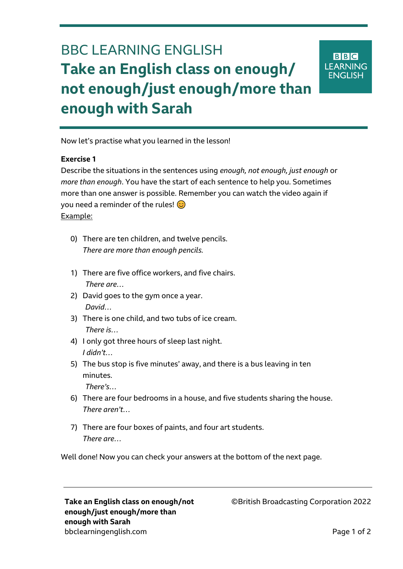## BBC LEARNING ENGLISH **Take an English class on enough/ not enough/just enough/more than enough with Sarah**

**BBC LEARNING ENGLISH** 

Now let's practise what you learned in the lesson!

## **Exercise 1**

Ξ

Describe the situations in the sentences using *enough, not enough, just enough* or *more than enough*. You have the start of each sentence to help you. Sometimes more than one answer is possible. Remember you can watch the video again if you need a reminder of the rules!  $\odot$ Example:

- 0) There are ten children, and twelve pencils. *There are more than enough pencils.*
- 1) There are five office workers, and five chairs. *There are…*
- 2) David goes to the gym once a year. *David…*
- 3) There is one child, and two tubs of ice cream. *There is…*
- 4) I only got three hours of sleep last night. *I didn't…*
- 5) The bus stop is five minutes' away, and there is a bus leaving in ten minutes.

*There's…*

- 6) There are four bedrooms in a house, and five students sharing the house. *There aren't…*
- 7) There are four boxes of paints, and four art students. *There are…*

Well done! Now you can check your answers at the bottom of the next page.

**Take an English class on enough/not enough/just enough/more than enough with Sarah** bbclearningenglish.com **Page 1 of 2** 

©British Broadcasting Corporation 2022